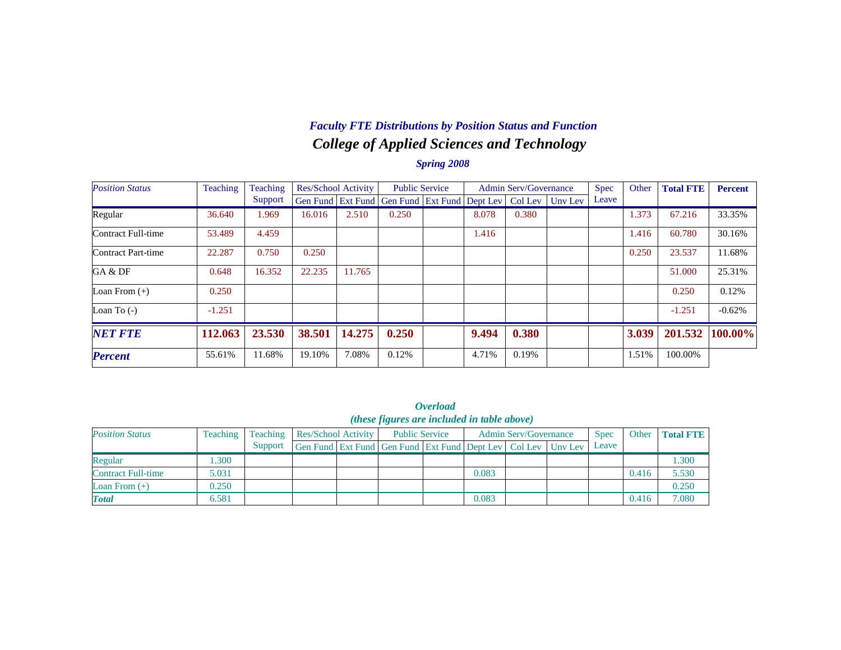### *College of Applied Sciences and Technology Faculty FTE Distributions by Position Status and Function*

| <b>Position Status</b> | Teaching | Teaching | <b>Res/School Activity</b> |        | <b>Public Service</b>                                |       | Admin Serv/Governance |                 | Spec  | Other | <b>Total FTE</b> | <b>Percent</b> |
|------------------------|----------|----------|----------------------------|--------|------------------------------------------------------|-------|-----------------------|-----------------|-------|-------|------------------|----------------|
|                        |          | Support  |                            |        | Gen Fund   Ext Fund   Gen Fund   Ext Fund   Dept Lev |       |                       | Col Lev Uny Lev | Leave |       |                  |                |
| Regular                | 36.640   | 1.969    | 16.016                     | 2.510  | 0.250                                                | 8.078 | 0.380                 |                 |       | 1.373 | 67.216           | 33.35%         |
| Contract Full-time     | 53.489   | 4.459    |                            |        |                                                      | 1.416 |                       |                 |       | 1.416 | 60.780           | 30.16%         |
| Contract Part-time     | 22.287   | 0.750    | 0.250                      |        |                                                      |       |                       |                 |       | 0.250 | 23.537           | 11.68%         |
| GA & DF                | 0.648    | 16.352   | 22.235                     | 11.765 |                                                      |       |                       |                 |       |       | 51.000           | 25.31%         |
| Loan From $(+)$        | 0.250    |          |                            |        |                                                      |       |                       |                 |       |       | 0.250            | 0.12%          |
| Loan To $(-)$          | $-1.251$ |          |                            |        |                                                      |       |                       |                 |       |       | $-1.251$         | $-0.62%$       |
| <b>NET FTE</b>         | 112.063  | 23.530   | 38.501                     | 14.275 | 0.250                                                | 9.494 | 0.380                 |                 |       | 3.039 | 201.532          | 100.00%        |
| <b>Percent</b>         | 55.61%   | 11.68%   | 19.10%                     | 7.08%  | 0.12%                                                | 4.71% | 0.19%                 |                 |       | 1.51% | 100.00%          |                |

|                                                                                                                                                                                                                             |       |         |  |  |                                                                  | <i><b>Overload</b></i> |       |  |  |       |       |       |  |  |  |  |  |  |  |  |
|-----------------------------------------------------------------------------------------------------------------------------------------------------------------------------------------------------------------------------|-------|---------|--|--|------------------------------------------------------------------|------------------------|-------|--|--|-------|-------|-------|--|--|--|--|--|--|--|--|
| ( <i>these figures are included in table above</i> )<br><b>Position Status</b><br><b>Admin Serv/Governance</b><br><b>Total FTE</b><br>Teaching<br><b>Public Service</b><br>Teaching<br>Res/School Activity<br>Spec<br>Other |       |         |  |  |                                                                  |                        |       |  |  |       |       |       |  |  |  |  |  |  |  |  |
|                                                                                                                                                                                                                             |       | Support |  |  | Gen Fund Ext Fund Gen Fund Ext Fund Dept Lev   Col Lev   Unv Lev |                        |       |  |  | Leave |       |       |  |  |  |  |  |  |  |  |
| Regular                                                                                                                                                                                                                     | .300  |         |  |  |                                                                  |                        |       |  |  |       |       | 1.300 |  |  |  |  |  |  |  |  |
| Contract Full-time                                                                                                                                                                                                          | 5.031 |         |  |  |                                                                  |                        | 0.083 |  |  |       | 0.416 | 5.530 |  |  |  |  |  |  |  |  |
| Loan From $(+)$                                                                                                                                                                                                             | 0.250 |         |  |  |                                                                  |                        |       |  |  |       |       | 0.250 |  |  |  |  |  |  |  |  |
| <b>Total</b>                                                                                                                                                                                                                | 6.581 |         |  |  |                                                                  |                        | 0.083 |  |  |       | 0.416 | 7.080 |  |  |  |  |  |  |  |  |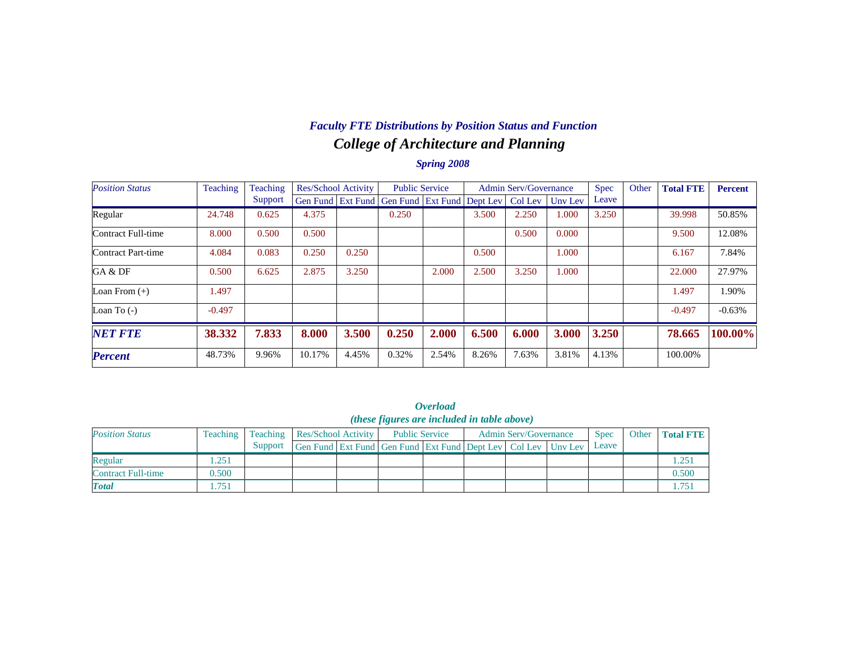## *College of Architecture and Planning Faculty FTE Distributions by Position Status and Function*

| <b>Position Status</b> | Teaching | Teaching | Res/School Activity |       | <b>Public Service</b>                                |       |       | <b>Admin Serv/Governance</b> |         | Spec  | Other | <b>Total FTE</b> | <b>Percent</b> |
|------------------------|----------|----------|---------------------|-------|------------------------------------------------------|-------|-------|------------------------------|---------|-------|-------|------------------|----------------|
|                        |          | Support  |                     |       | Gen Fund   Ext Fund   Gen Fund   Ext Fund   Dept Lev |       |       | Col Lev                      | Uny Lev | Leave |       |                  |                |
| Regular                | 24.748   | 0.625    | 4.375               |       | 0.250                                                |       | 3.500 | 2.250                        | 1.000   | 3.250 |       | 39.998           | 50.85%         |
| Contract Full-time     | 8.000    | 0.500    | 0.500               |       |                                                      |       |       | 0.500                        | 0.000   |       |       | 9.500            | 12.08%         |
| Contract Part-time     | 4.084    | 0.083    | 0.250               | 0.250 |                                                      |       | 0.500 |                              | 1.000   |       |       | 6.167            | 7.84%          |
| GA & DF                | 0.500    | 6.625    | 2.875               | 3.250 |                                                      | 2.000 | 2.500 | 3.250                        | 000.1   |       |       | 22,000           | 27.97%         |
| Loan From $(+)$        | 1.497    |          |                     |       |                                                      |       |       |                              |         |       |       | 1.497            | 1.90%          |
| Loan To $(-)$          | $-0.497$ |          |                     |       |                                                      |       |       |                              |         |       |       | $-0.497$         | $-0.63%$       |
| <b>NET FTE</b>         | 38.332   | 7.833    | 8.000               | 3.500 | 0.250                                                | 2.000 | 6.500 | 6.000                        | 3.000   | 3.250 |       | 78.665           | 100.00%        |
| <b>Percent</b>         | 48.73%   | 9.96%    | 10.17%              | 4.45% | 0.32%                                                | 2.54% | 8.26% | 7.63%                        | 3.81%   | 4.13% |       | 100.00%          |                |

|                           |                 |         |                                     | ( <i>these figures are included in table above</i> )         | <i><b>Overload</b></i> |                              |             |                   |
|---------------------------|-----------------|---------|-------------------------------------|--------------------------------------------------------------|------------------------|------------------------------|-------------|-------------------|
| <b>Position Status</b>    | <b>Teaching</b> |         | <b>Teaching Res/School Activity</b> | <b>Public Service</b>                                        |                        | <b>Admin Serv/Governance</b> | <b>Spec</b> | Other   Total FTE |
|                           |                 | Support |                                     | Gen Fund Ext Fund Gen Fund Ext Fund Dept Lev Col Lev Unv Lev |                        |                              | Leave       |                   |
| Regular                   | .251            |         |                                     |                                                              |                        |                              |             | 1.251             |
| <b>Contract Full-time</b> | 0.500           |         |                                     |                                                              |                        |                              |             | 0.500             |
| <b>Total</b>              | l.751           |         |                                     |                                                              |                        |                              |             | 1.751             |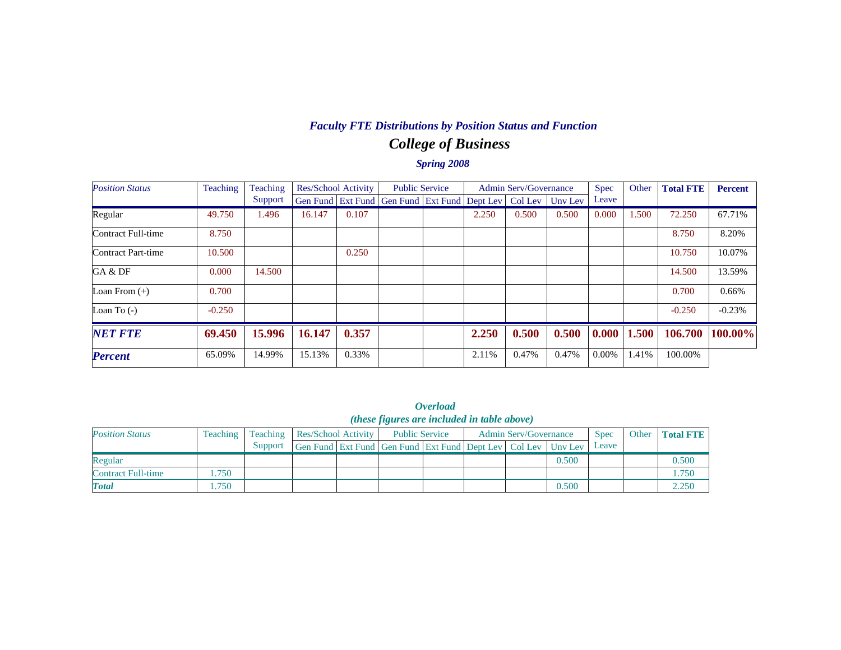# *College of Business Faculty FTE Distributions by Position Status and Function*

| <b>Position Status</b> | Teaching | Teaching | Res/School Activity |       | <b>Public Service</b>                                |       | <b>Admin Serv/Governance</b> |         | Spec     | Other | <b>Total FTE</b> | <b>Percent</b> |
|------------------------|----------|----------|---------------------|-------|------------------------------------------------------|-------|------------------------------|---------|----------|-------|------------------|----------------|
|                        |          | Support  |                     |       | Gen Fund   Ext Fund   Gen Fund   Ext Fund   Dept Lev |       | Col Lev                      | Unv Lev | Leave    |       |                  |                |
| Regular                | 49.750   | .496     | 16.147              | 0.107 |                                                      | 2.250 | 0.500                        | 0.500   | 0.000    | 1.500 | 72.250           | 67.71%         |
| Contract Full-time     | 8.750    |          |                     |       |                                                      |       |                              |         |          |       | 8.750            | 8.20%          |
| Contract Part-time     | 10.500   |          |                     | 0.250 |                                                      |       |                              |         |          |       | 10.750           | 10.07%         |
| GA & DF                | 0.000    | 14.500   |                     |       |                                                      |       |                              |         |          |       | 14.500           | 13.59%         |
| Loan From $(+)$        | 0.700    |          |                     |       |                                                      |       |                              |         |          |       | 0.700            | 0.66%          |
| Loan To $(-)$          | $-0.250$ |          |                     |       |                                                      |       |                              |         |          |       | $-0.250$         | $-0.23%$       |
| <b>NET FTE</b>         | 69.450   | 15.996   | 16.147              | 0.357 |                                                      | 2.250 | 0.500                        | 0.500   | 0.000    | 1.500 | 106.700          | 100.00%        |
| <b>Percent</b>         | 65.09%   | 14.99%   | 15.13%              | 0.33% |                                                      | 2.11% | 0.47%                        | 0.47%   | $0.00\%$ | 1.41% | 100.00%          |                |

|                           | <i><b>Overload</b></i><br>( <i>these figures are included in table above</i> ) |          |                                                                          |  |  |                       |  |  |                              |             |       |                  |  |  |
|---------------------------|--------------------------------------------------------------------------------|----------|--------------------------------------------------------------------------|--|--|-----------------------|--|--|------------------------------|-------------|-------|------------------|--|--|
| <b>Position Status</b>    | <b>Teaching</b>                                                                | Teaching | Res/School Activity                                                      |  |  | <b>Public Service</b> |  |  | <b>Admin Serv/Governance</b> | <b>Spec</b> | Other | <b>Total FTE</b> |  |  |
|                           |                                                                                | Support  | Gen Fund   Ext Fund   Gen Fund   Ext Fund   Dept Lev   Col Lev   Unv Lev |  |  |                       |  |  |                              | Leave       |       |                  |  |  |
| Regular                   |                                                                                |          |                                                                          |  |  |                       |  |  | 0.500                        |             |       | 0.500            |  |  |
| <b>Contract Full-time</b> | 1.750                                                                          |          |                                                                          |  |  |                       |  |  |                              |             |       | 1.750            |  |  |
| <b>Total</b>              | 1.750                                                                          |          |                                                                          |  |  |                       |  |  | 0.500                        |             |       | 2.250            |  |  |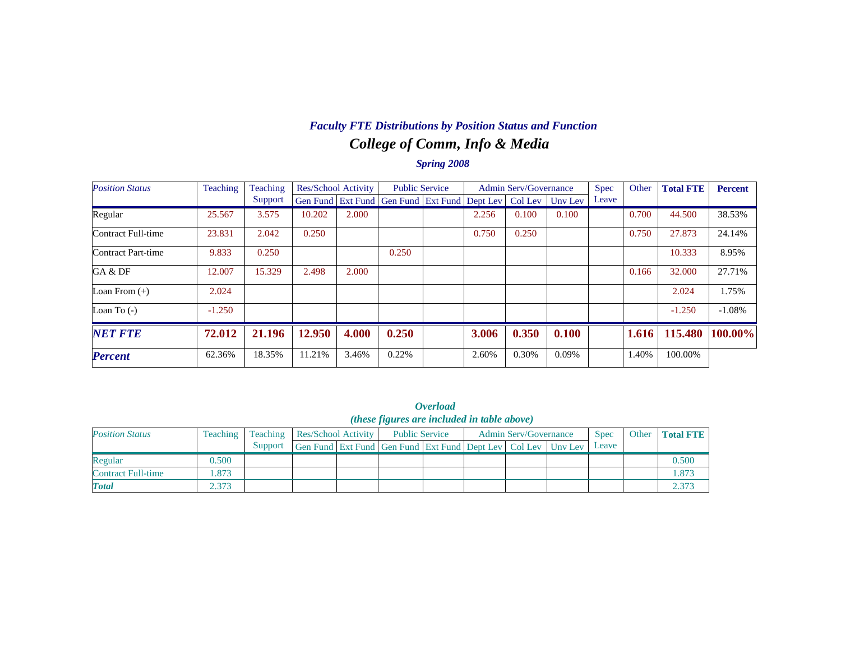# *College of Comm, Info & Media Faculty FTE Distributions by Position Status and Function*

| <b>Position Status</b> | Teaching | Teaching | Res/School Activity |       | <b>Public Service</b>                        |       | <b>Admin Serv/Governance</b> |         | Spec  | Other | <b>Total FTE</b> | <b>Percent</b> |
|------------------------|----------|----------|---------------------|-------|----------------------------------------------|-------|------------------------------|---------|-------|-------|------------------|----------------|
|                        |          | Support  |                     |       | Gen Fund Ext Fund Gen Fund Ext Fund Dept Lev |       | Col Lev                      | Uny Lev | Leave |       |                  |                |
| Regular                | 25.567   | 3.575    | 10.202              | 2.000 |                                              | 2.256 | 0.100                        | 0.100   |       | 0.700 | 44.500           | 38.53%         |
| Contract Full-time     | 23.831   | 2.042    | 0.250               |       |                                              | 0.750 | 0.250                        |         |       | 0.750 | 27.873           | 24.14%         |
| Contract Part-time     | 9.833    | 0.250    |                     |       | 0.250                                        |       |                              |         |       |       | 10.333           | 8.95%          |
| GA & DF                | 12.007   | 15.329   | 2.498               | 2.000 |                                              |       |                              |         |       | 0.166 | 32.000           | 27.71%         |
| Loan From $(+)$        | 2.024    |          |                     |       |                                              |       |                              |         |       |       | 2.024            | 1.75%          |
| Loan To $(-)$          | $-1.250$ |          |                     |       |                                              |       |                              |         |       |       | $-1.250$         | $-1.08%$       |
| <b>NET FTE</b>         | 72.012   | 21.196   | 12.950              | 4.000 | 0.250                                        | 3.006 | 0.350                        | 0.100   |       | 1.616 | 115.480          | 100.00%        |
| <b>Percent</b>         | 62.36%   | 18.35%   | 11.21%              | 3.46% | 0.22%                                        | 2.60% | 0.30%                        | 0.09%   |       | 1.40% | 100.00%          |                |

|                                | <i><b>Overload</b></i>                             |               |
|--------------------------------|----------------------------------------------------|---------------|
|                                | <i>(these figures are included in table above)</i> |               |
| $-10 - 1 = -1 - 1 = 1 + 1 = 1$ | $D = 1112 \times 100$                              | $A = 1100101$ |

| <b>Position Status</b> | Teaching |         | Teaching   Res/School Activity                               | <b>Public Service</b> |  | <b>Admin Serv/Governance</b> | <b>Spec</b> | Other | <b>Total FTE</b> |
|------------------------|----------|---------|--------------------------------------------------------------|-----------------------|--|------------------------------|-------------|-------|------------------|
|                        |          | Support | Gen Fund Ext Fund Gen Fund Ext Fund Dept Lev Col Lev Unv Lev |                       |  |                              | Leave       |       |                  |
| Regular                | 0.500    |         |                                                              |                       |  |                              |             |       | 0.500            |
| Contract Full-time     | .873     |         |                                                              |                       |  |                              |             |       | 1.873            |
| <b>Total</b>           | 2.373    |         |                                                              |                       |  |                              |             |       | 2.373            |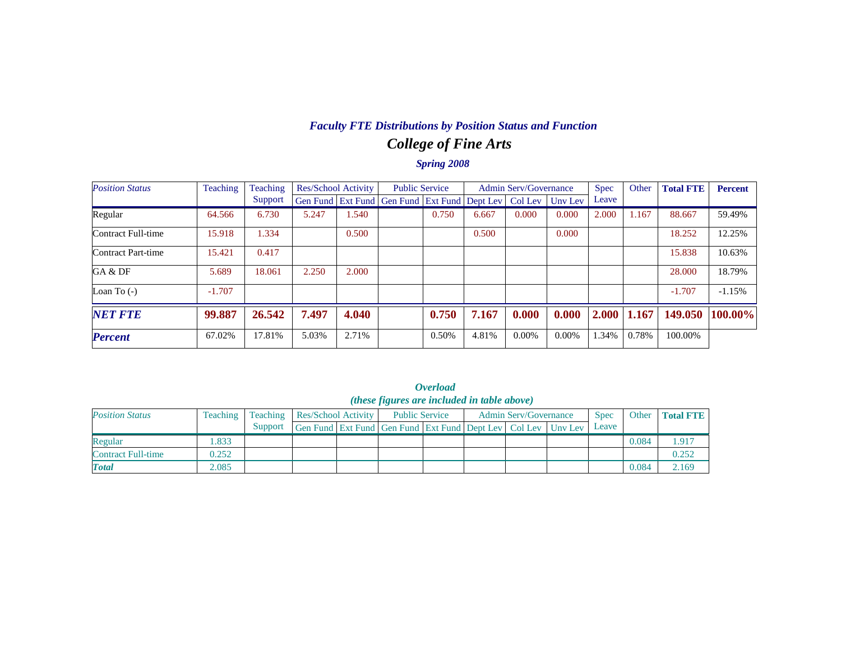## *College of Fine Arts Faculty FTE Distributions by Position Status and Function*

| <b>Position Status</b> | Teaching | Teaching | Res/School Activity |       | <b>Public Service</b>                                |       |       | <b>Admin Serv/Governance</b> |         | <b>Spec</b> | Other | <b>Total FTE</b> | <b>Percent</b> |
|------------------------|----------|----------|---------------------|-------|------------------------------------------------------|-------|-------|------------------------------|---------|-------------|-------|------------------|----------------|
|                        |          | Support  |                     |       | Gen Fund   Ext Fund   Gen Fund   Ext Fund   Dept Lev |       |       | Col Lev                      | Uny Lev | Leave       |       |                  |                |
| Regular                | 64.566   | 6.730    | 5.247               | 1.540 |                                                      | 0.750 | 6.667 | 0.000                        | 0.000   | 2.000       | 1.167 | 88.667           | 59.49%         |
| Contract Full-time     | 15.918   | 1.334    |                     | 0.500 |                                                      |       | 0.500 |                              | 0.000   |             |       | 18.252           | 12.25%         |
| Contract Part-time     | 15.421   | 0.417    |                     |       |                                                      |       |       |                              |         |             |       | 15.838           | 10.63%         |
| GA & DF                | 5.689    | 18.061   | 2.250               | 2.000 |                                                      |       |       |                              |         |             |       | 28,000           | 18.79%         |
| Loan To $(-)$          | $-1.707$ |          |                     |       |                                                      |       |       |                              |         |             |       | $-1.707$         | $-1.15%$       |
| <b>NET FTE</b>         | 99.887   | 26.542   | 7.497               | 4.040 |                                                      | 0.750 | 7.167 | 0.000                        | 0.000   | 2.000       | 1.167 | 149.050          | 100.00%        |
| <b>Percent</b>         | 67.02%   | 17.81%   | 5.03%               | 2.71% |                                                      | 0.50% | 4.81% | $0.00\%$                     | 0.00%   | 1.34%       | 0.78% | 100.00%          |                |

|                                                    | <i><b>Overload</b></i> |  |  |
|----------------------------------------------------|------------------------|--|--|
| <i>(these figures are included in table above)</i> |                        |  |  |

| <b>Position Status</b>    | Teaching |         | Teaching   Res/School Activity                                   | <b>Public Service</b> |  | <b>Admin Serv/Governance</b> | <b>Spec</b> | Other | <b>Total FTE</b> |
|---------------------------|----------|---------|------------------------------------------------------------------|-----------------------|--|------------------------------|-------------|-------|------------------|
|                           |          | Support | Gen Fund Ext Fund Gen Fund Ext Fund Dept Lev   Col Lev   Unv Lev |                       |  |                              | Leave       |       |                  |
| Regular                   | .833     |         |                                                                  |                       |  |                              |             | 0.084 | .917             |
| <b>Contract Full-time</b> | 0.252    |         |                                                                  |                       |  |                              |             |       | 0.252            |
| <b>Total</b>              | 2.085    |         |                                                                  |                       |  |                              |             | 0.084 | 2.169            |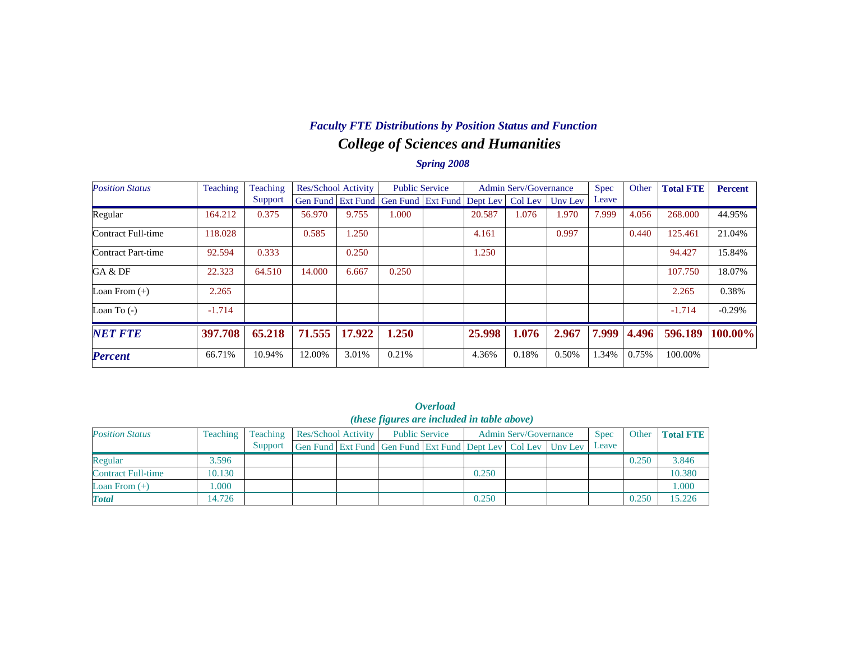## *College of Sciences and Humanities Faculty FTE Distributions by Position Status and Function*

| <b>Position Status</b> | Teaching<br>Teaching |         | <b>Res/School Activity</b> |        | <b>Public Service</b>      |  |        | <b>Admin Serv/Governance</b> |         | <b>Spec</b> | Other | <b>Total FTE</b> | <b>Percent</b> |
|------------------------|----------------------|---------|----------------------------|--------|----------------------------|--|--------|------------------------------|---------|-------------|-------|------------------|----------------|
|                        |                      | Support | Gen Fund Ext Fund          |        | Gen Fund Ext Fund Dept Lev |  |        | Col Lev                      | Unv Lev | Leave       |       |                  |                |
| Regular                | 164.212              | 0.375   | 56.970                     | 9.755  | 1.000                      |  | 20.587 | 1.076                        | 1.970   | 7.999       | 4.056 | 268,000          | 44.95%         |
| Contract Full-time     | 118.028              |         | 0.585                      | 1.250  |                            |  | 4.161  |                              | 0.997   |             | 0.440 | 125.461          | 21.04%         |
| Contract Part-time     | 92.594               | 0.333   |                            | 0.250  |                            |  | 1.250  |                              |         |             |       | 94.427           | 15.84%         |
| GA & DF                | 22.323               | 64.510  | 14.000                     | 6.667  | 0.250                      |  |        |                              |         |             |       | 107.750          | 18.07%         |
| Loan From $(+)$        | 2.265                |         |                            |        |                            |  |        |                              |         |             |       | 2.265            | 0.38%          |
| Loan To $(-)$          | $-1.714$             |         |                            |        |                            |  |        |                              |         |             |       | $-1.714$         | $-0.29%$       |
| <b>NET FTE</b>         | 397.708              | 65.218  | 71.555                     | 17.922 | 1.250                      |  | 25,998 | 1.076                        | 2.967   | 7.999       | 4.496 | 596.189          | 100.00%        |
| <b>Percent</b>         | 66.71%               | 10.94%  | 12.00%                     | 3.01%  | 0.21%                      |  | 4.36%  | 0.18%                        | 0.50%   | .34%        | 0.75% | 100.00%          |                |

| ( <i>these figures are included in table above</i> ) |          |          |                     |  |                                                              |  |       |                              |  |             |       |                  |
|------------------------------------------------------|----------|----------|---------------------|--|--------------------------------------------------------------|--|-------|------------------------------|--|-------------|-------|------------------|
| <b>Position Status</b>                               | Teaching | Teaching | Res/School Activity |  | <b>Public Service</b>                                        |  |       | <b>Admin Serv/Governance</b> |  | <b>Spec</b> | Other | <b>Total FTE</b> |
|                                                      |          | Support  |                     |  | Gen Fund Ext Fund Gen Fund Ext Fund Dept Lev Col Lev Unv Lev |  |       |                              |  | Leave       |       |                  |
| Regular                                              | 3.596    |          |                     |  |                                                              |  |       |                              |  |             | 0.250 | 3.846            |
| <b>Contract Full-time</b>                            | 10.130   |          |                     |  |                                                              |  | 0.250 |                              |  |             |       | 10.380           |
| Loan From $(+)$                                      | .000     |          |                     |  |                                                              |  |       |                              |  |             |       | 1.000            |
| <b>Total</b>                                         | 14.726   |          |                     |  |                                                              |  | 0.250 |                              |  |             | 0.250 | 15.226           |

*Overload*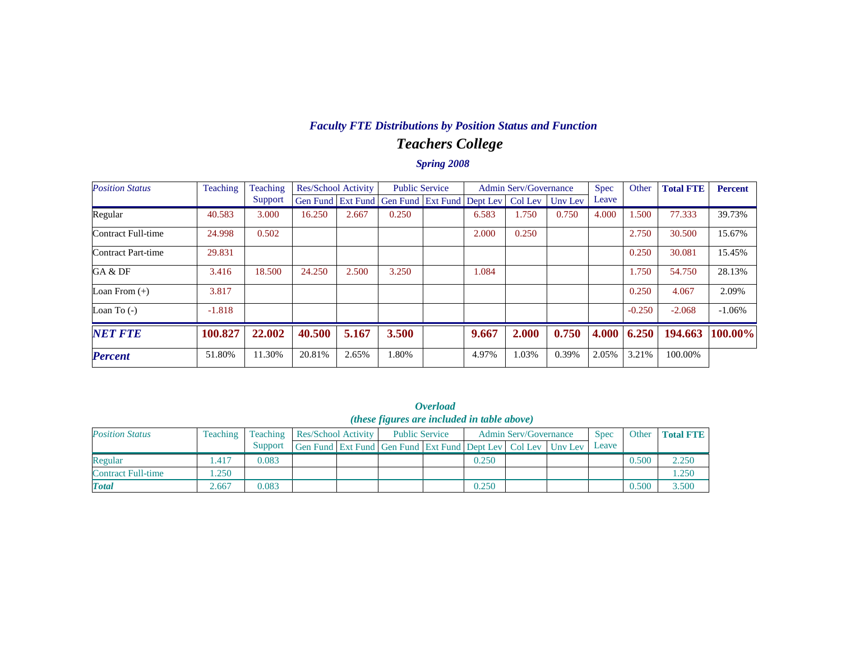#### *Teachers College Faculty FTE Distributions by Position Status and Function*

| <b>Position Status</b> | Teaching | Teaching |        | Res/School Activity |                                                      | <b>Public Service</b> |       | <b>Admin Serv/Governance</b> |         |       | Other    | <b>Total FTE</b> | <b>Percent</b> |
|------------------------|----------|----------|--------|---------------------|------------------------------------------------------|-----------------------|-------|------------------------------|---------|-------|----------|------------------|----------------|
|                        |          | Support  |        |                     | Gen Fund   Ext Fund   Gen Fund   Ext Fund   Dept Lev |                       |       | Col Lev                      | Uny Lev | Leave |          |                  |                |
| Regular                | 40.583   | 3.000    | 16.250 | 2.667               | 0.250                                                |                       | 6.583 | 1.750                        | 0.750   | 4.000 | 1.500    | 77.333           | 39.73%         |
| Contract Full-time     | 24.998   | 0.502    |        |                     |                                                      |                       | 2.000 | 0.250                        |         |       | 2.750    | 30.500           | 15.67%         |
| Contract Part-time     | 29.831   |          |        |                     |                                                      |                       |       |                              |         |       | 0.250    | 30.081           | 15.45%         |
| GA & DF                | 3.416    | 18.500   | 24.250 | 2.500               | 3.250                                                |                       | 1.084 |                              |         |       | 1.750    | 54.750           | 28.13%         |
| Loan From $(+)$        | 3.817    |          |        |                     |                                                      |                       |       |                              |         |       | 0.250    | 4.067            | 2.09%          |
| Loan To $(-)$          | $-1.818$ |          |        |                     |                                                      |                       |       |                              |         |       | $-0.250$ | $-2.068$         | $-1.06\%$      |
| <b>NET FTE</b>         | 100.827  | 22.002   | 40.500 | 5.167               | 3.500                                                |                       | 9.667 | 2.000                        | 0.750   | 4.000 | 6.250    | 194.663          | 100.00%        |
| <b>Percent</b>         | 51.80%   | 11.30%   | 20.81% | 2.65%               | 1.80%                                                |                       | 4.97% | 1.03%                        | 0.39%   | 2.05% | 3.21%    | 100.00%          |                |

|                           |                      |                                                      |  |                     |                                                                          | . <i>.</i>            |       |                              |  |       |       |                  |  |  |
|---------------------------|----------------------|------------------------------------------------------|--|---------------------|--------------------------------------------------------------------------|-----------------------|-------|------------------------------|--|-------|-------|------------------|--|--|
|                           |                      | ( <i>these figures are included in table above</i> ) |  |                     |                                                                          |                       |       |                              |  |       |       |                  |  |  |
| <b>Position Status</b>    | Teaching<br>Teaching |                                                      |  | Res/School Activity |                                                                          | <b>Public Service</b> |       | <b>Admin Serv/Governance</b> |  | Spec  | Other | <b>Total FTE</b> |  |  |
|                           |                      | Support                                              |  |                     | Gen Fund   Ext Fund   Gen Fund   Ext Fund   Dept Lev   Col Lev   Unv Lev |                       |       |                              |  | Leave |       |                  |  |  |
| Regular                   | .417                 | 0.083                                                |  |                     |                                                                          |                       | 0.250 |                              |  |       | 0.500 | 2.250            |  |  |
| <b>Contract Full-time</b> | .250                 |                                                      |  |                     |                                                                          |                       |       |                              |  |       |       | 1.250            |  |  |
| <b>Total</b>              | 2.667                | 0.083                                                |  |                     |                                                                          |                       | 0.250 |                              |  |       | 0.500 | 3.500            |  |  |

*Overload*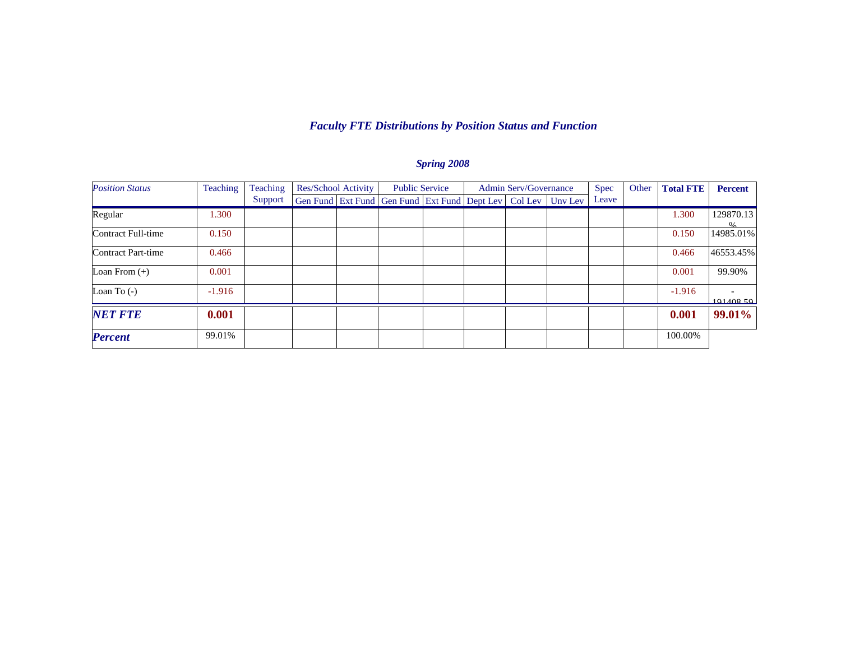#### *Faculty FTE Distributions by Position Status and Function*

| <b>Position Status</b> | <b>Teaching</b><br>Teaching |         | Res/School Activity |  | <b>Public Service</b>                                                    |  | <b>Admin Serv/Governance</b> |  |  | Spec  | Other | <b>Total FTE</b> | <b>Percent</b>                        |
|------------------------|-----------------------------|---------|---------------------|--|--------------------------------------------------------------------------|--|------------------------------|--|--|-------|-------|------------------|---------------------------------------|
|                        |                             | Support |                     |  | Gen Fund   Ext Fund   Gen Fund   Ext Fund   Dept Lev   Col Lev   Unv Lev |  |                              |  |  | Leave |       |                  |                                       |
| Regular                | 1.300                       |         |                     |  |                                                                          |  |                              |  |  |       |       | 1.300            | 129870.13<br>0/2                      |
| Contract Full-time     | 0.150                       |         |                     |  |                                                                          |  |                              |  |  |       |       | 0.150            | 14985.01%                             |
| Contract Part-time     | 0.466                       |         |                     |  |                                                                          |  |                              |  |  |       |       | 0.466            | 46553.45%                             |
| Loan From $(+)$        | 0.001                       |         |                     |  |                                                                          |  |                              |  |  |       |       | 0.001            | 99.90%                                |
| Loan To $(-)$          | $-1.916$                    |         |                     |  |                                                                          |  |                              |  |  |       |       | $-1.916$         | $\overline{\phantom{0}}$<br>101408.50 |
| <b>NET FTE</b>         | 0.001                       |         |                     |  |                                                                          |  |                              |  |  |       |       | 0.001            | 99.01%                                |
| <b>Percent</b>         | 99.01%                      |         |                     |  |                                                                          |  |                              |  |  |       |       | 100.00%          |                                       |